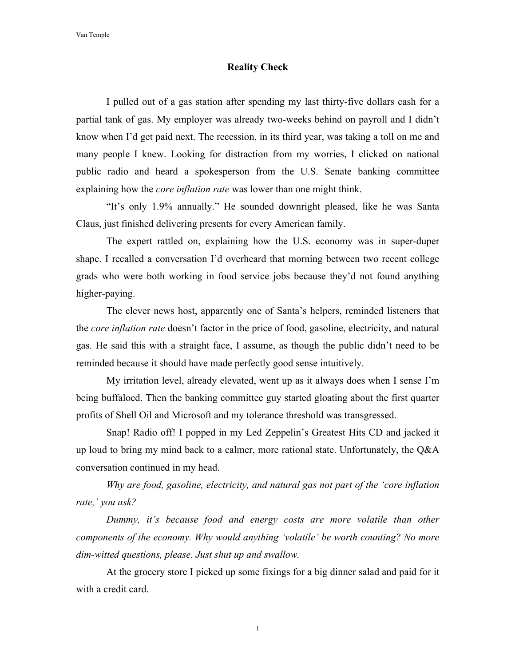## **Reality Check**

I pulled out of a gas station after spending my last thirty-five dollars cash for a partial tank of gas. My employer was already two-weeks behind on payroll and I didn't know when I'd get paid next. The recession, in its third year, was taking a toll on me and many people I knew. Looking for distraction from my worries, I clicked on national public radio and heard a spokesperson from the U.S. Senate banking committee explaining how the *core inflation rate* was lower than one might think.

"It's only 1.9% annually." He sounded downright pleased, like he was Santa Claus, just finished delivering presents for every American family.

The expert rattled on, explaining how the U.S. economy was in super-duper shape. I recalled a conversation I'd overheard that morning between two recent college grads who were both working in food service jobs because they'd not found anything higher-paying.

The clever news host, apparently one of Santa's helpers, reminded listeners that the *core inflation rate* doesn't factor in the price of food, gasoline, electricity, and natural gas. He said this with a straight face, I assume, as though the public didn't need to be reminded because it should have made perfectly good sense intuitively.

My irritation level, already elevated, went up as it always does when I sense I'm being buffaloed. Then the banking committee guy started gloating about the first quarter profits of Shell Oil and Microsoft and my tolerance threshold was transgressed.

Snap! Radio off! I popped in my Led Zeppelin's Greatest Hits CD and jacked it up loud to bring my mind back to a calmer, more rational state. Unfortunately, the Q&A conversation continued in my head.

*Why are food, gasoline, electricity, and natural gas not part of the 'core inflation rate,' you ask?* 

*Dummy, it's because food and energy costs are more volatile than other components of the economy. Why would anything 'volatile' be worth counting? No more dim-witted questions, please. Just shut up and swallow.* 

At the grocery store I picked up some fixings for a big dinner salad and paid for it with a credit card.

1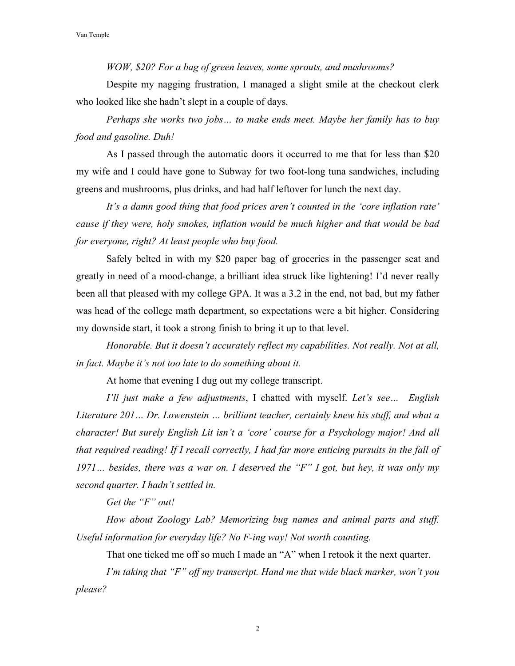*WOW, \$20? For a bag of green leaves, some sprouts, and mushrooms?* 

Despite my nagging frustration, I managed a slight smile at the checkout clerk who looked like she hadn't slept in a couple of days.

*Perhaps she works two jobs… to make ends meet. Maybe her family has to buy food and gasoline. Duh!*

As I passed through the automatic doors it occurred to me that for less than \$20 my wife and I could have gone to Subway for two foot-long tuna sandwiches, including greens and mushrooms, plus drinks, and had half leftover for lunch the next day.

*It's a damn good thing that food prices aren't counted in the 'core inflation rate' cause if they were, holy smokes, inflation would be much higher and that would be bad for everyone, right? At least people who buy food.*

Safely belted in with my \$20 paper bag of groceries in the passenger seat and greatly in need of a mood-change, a brilliant idea struck like lightening! I'd never really been all that pleased with my college GPA. It was a 3.2 in the end, not bad, but my father was head of the college math department, so expectations were a bit higher. Considering my downside start, it took a strong finish to bring it up to that level.

*Honorable. But it doesn't accurately reflect my capabilities. Not really. Not at all, in fact. Maybe it's not too late to do something about it.* 

At home that evening I dug out my college transcript.

*I'll just make a few adjustments*, I chatted with myself. *Let's see… English Literature 201… Dr. Lowenstein … brilliant teacher, certainly knew his stuff, and what a character! But surely English Lit isn't a 'core' course for a Psychology major! And all that required reading! If I recall correctly, I had far more enticing pursuits in the fall of 1971… besides, there was a war on. I deserved the "F" I got, but hey, it was only my second quarter. I hadn't settled in.*

*Get the "F" out!*

*How about Zoology Lab? Memorizing bug names and animal parts and stuff. Useful information for everyday life? No F-ing way! Not worth counting.*

That one ticked me off so much I made an "A" when I retook it the next quarter.

*I'm taking that "F" off my transcript. Hand me that wide black marker, won't you please?* 

2